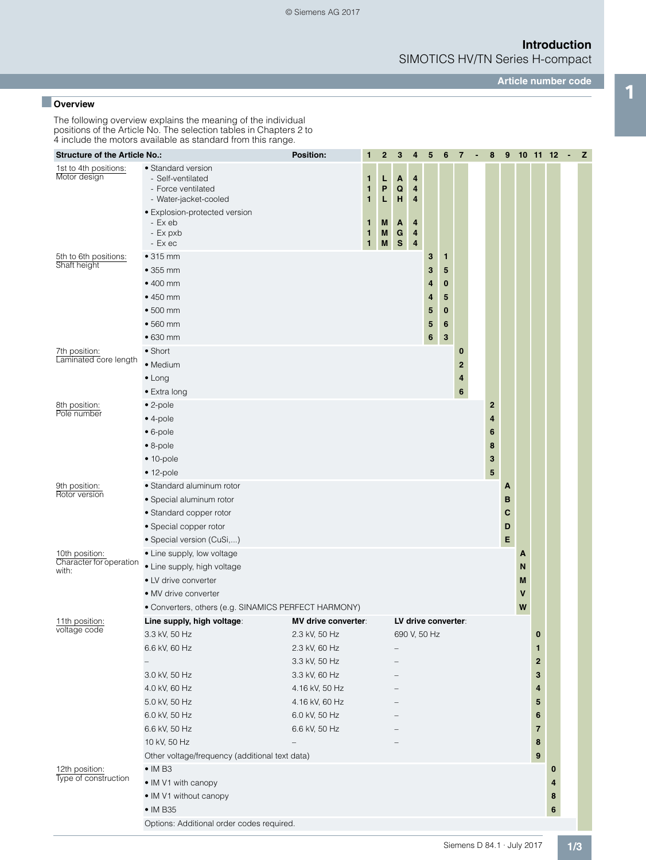SIMOTICS HV/TN Series H-compact

**Article number code**

## **1 Overview**<br>**1 Overview**

The following overview explains the meaning of the individual positions of the Article No. The selection tables in Chapters 2 to 4 include the motors available as standard from this range.

| <b>Structure of the Article No.:</b>      |                                                                                        | <b>Position:</b>               | 1                      | $\mathbf{2}$ | 3                             | 4            | $\sqrt{5}$ | $6\phantom{1}6$     | $\overline{7}$ | $\blacksquare$ | 8            | 9 |   |             | $10$ 11 12 - Z |  |
|-------------------------------------------|----------------------------------------------------------------------------------------|--------------------------------|------------------------|--------------|-------------------------------|--------------|------------|---------------------|----------------|----------------|--------------|---|---|-------------|----------------|--|
| 1st to 4th positions:<br>Motor design     | • Standard version<br>- Self-ventilated<br>- Force ventilated<br>- Water-jacket-cooled |                                | 1<br>1<br>1            | L<br>P<br>L  | Α<br>$\mathbf Q$<br>н         | 4<br>4<br>4  |            |                     |                |                |              |   |   |             |                |  |
|                                           | • Explosion-protected version<br>- Ex eb<br>- Ex pxb<br>- Ex ec                        |                                | 1<br>1<br>$\mathbf{1}$ | M<br>M<br>M  | A<br>${\bf G}$<br>$\mathbf S$ | 4<br>4<br>4  |            |                     |                |                |              |   |   |             |                |  |
| 5th to 6th positions:                     | • 315 mm                                                                               |                                |                        |              |                               |              | 3          | 1                   |                |                |              |   |   |             |                |  |
| Shaft height                              | $•355$ mm                                                                              |                                |                        |              |                               |              | 3          | 5                   |                |                |              |   |   |             |                |  |
|                                           | $\bullet$ 400 mm                                                                       |                                |                        |              |                               |              | 4          | $\bf{0}$            |                |                |              |   |   |             |                |  |
|                                           | $•450$ mm                                                                              |                                |                        |              |                               |              | 4          | 5                   |                |                |              |   |   |             |                |  |
|                                           | $\bullet$ 500 mm                                                                       |                                |                        |              |                               |              | 5          | $\bf{0}$            |                |                |              |   |   |             |                |  |
|                                           | $•560$ mm                                                                              |                                |                        |              |                               |              | 5          | $6\phantom{1}6$     |                |                |              |   |   |             |                |  |
|                                           | $•630$ mm                                                                              |                                |                        |              |                               |              | $\bf 6$    | 3                   |                |                |              |   |   |             |                |  |
| 7th position:                             | $\bullet$ Short                                                                        |                                |                        |              |                               |              |            |                     | 0              |                |              |   |   |             |                |  |
| Laminated core length                     | • Medium                                                                               |                                |                        |              |                               |              |            |                     | 2              |                |              |   |   |             |                |  |
|                                           | $\bullet$ Long                                                                         |                                |                        |              |                               |              |            |                     | 4              |                |              |   |   |             |                |  |
|                                           | • Extra long                                                                           |                                |                        |              |                               |              |            |                     | 6              |                |              |   |   |             |                |  |
| 8th position:<br>Pole number              | $\bullet$ 2-pole                                                                       |                                |                        |              |                               |              |            |                     |                |                | $\mathbf{2}$ |   |   |             |                |  |
|                                           | $\bullet$ 4-pole                                                                       |                                |                        |              |                               |              |            |                     |                |                | 4            |   |   |             |                |  |
|                                           | $\bullet$ 6-pole                                                                       |                                |                        |              |                               |              |            |                     |                |                | 6            |   |   |             |                |  |
|                                           | $\bullet$ 8-pole                                                                       |                                |                        |              |                               |              |            |                     |                |                | 8            |   |   |             |                |  |
|                                           | $• 10-pole$                                                                            |                                |                        |              |                               |              |            |                     |                |                | 3            |   |   |             |                |  |
|                                           | $• 12-pole$                                                                            |                                |                        |              |                               |              |            |                     |                |                | 5            |   |   |             |                |  |
| 9th position:<br>Rotor version            | • Standard aluminum rotor                                                              |                                |                        |              |                               |              |            |                     |                |                |              | A |   |             |                |  |
|                                           | · Special aluminum rotor                                                               |                                |                        |              |                               |              |            |                     |                |                |              | в |   |             |                |  |
|                                           | • Standard copper rotor                                                                |                                |                        |              |                               |              |            |                     |                |                |              | C |   |             |                |  |
|                                           | • Special copper rotor                                                                 |                                |                        |              |                               |              |            |                     |                |                |              | D |   |             |                |  |
|                                           | · Special version (CuSi,)                                                              |                                |                        |              |                               |              |            |                     |                |                |              | E |   |             |                |  |
| 10th position:<br>Character for operation | • Line supply, low voltage                                                             |                                |                        |              |                               |              |            |                     |                |                |              |   | A |             |                |  |
| with:                                     | • Line supply, high voltage                                                            |                                |                        |              |                               |              |            |                     |                |                |              |   | N |             |                |  |
|                                           | • LV drive converter                                                                   |                                |                        |              |                               |              |            |                     |                |                |              |   | M |             |                |  |
|                                           | • MV drive converter                                                                   |                                |                        |              |                               |              |            |                     |                |                |              |   | V |             |                |  |
|                                           | • Converters, others (e.g. SINAMICS PERFECT HARMONY)                                   |                                |                        |              |                               |              |            |                     |                |                |              |   | W |             |                |  |
| 11th position:<br>voltage code            | Line supply, high voltage:                                                             | <b>MV drive converter:</b>     |                        |              |                               |              |            | LV drive converter: |                |                |              |   |   | $\bf{0}$    |                |  |
|                                           | 3.3 kV, 50 Hz<br>6.6 kV, 60 Hz                                                         | 2.3 kV, 50 Hz<br>2.3 kV, 60 Hz |                        |              |                               | 690 V, 50 Hz |            |                     |                |                |              |   |   | 1           |                |  |
|                                           |                                                                                        | 3.3 kV, 50 Hz                  |                        |              |                               |              |            |                     |                |                |              |   |   | $\mathbf 2$ |                |  |
|                                           | 3.0 kV, 50 Hz                                                                          | 3.3 kV, 60 Hz                  |                        |              |                               |              |            |                     |                |                |              |   |   | 3           |                |  |
|                                           | 4.0 kV, 60 Hz                                                                          | 4.16 kV, 50 Hz                 |                        |              |                               |              |            |                     |                |                |              |   |   | 4           |                |  |
|                                           | 5.0 kV, 50 Hz                                                                          | 4.16 kV, 60 Hz                 |                        |              |                               |              |            |                     |                |                |              |   |   | 5           |                |  |
|                                           | 6.0 kV, 50 Hz                                                                          | 6.0 kV, 50 Hz                  |                        |              |                               |              |            |                     |                |                |              |   |   | 6           |                |  |
|                                           | 6.6 kV, 50 Hz                                                                          | 6.6 kV, 50 Hz                  |                        |              |                               |              |            |                     |                |                |              |   |   | 7           |                |  |
|                                           | 10 kV, 50 Hz                                                                           |                                |                        |              |                               |              |            |                     |                |                |              |   |   | 8           |                |  |
|                                           | Other voltage/frequency (additional text data)                                         |                                |                        |              |                               |              |            |                     |                |                |              |   |   | 9           |                |  |
| 12th position:                            | $\bullet$ IM B3                                                                        |                                |                        |              |                               |              |            |                     |                |                |              |   |   |             | 0              |  |
| Type of construction                      | • IM V1 with canopy                                                                    |                                |                        |              |                               |              |            |                     |                |                |              |   |   |             | 4              |  |
|                                           | • IM V1 without canopy                                                                 |                                |                        |              |                               |              |            |                     |                |                |              |   |   |             | 8              |  |
|                                           | $\bullet$ IM B35                                                                       |                                |                        |              |                               |              |            |                     |                |                |              |   |   |             | 6              |  |
|                                           | Options: Additional order codes required.                                              |                                |                        |              |                               |              |            |                     |                |                |              |   |   |             |                |  |
|                                           |                                                                                        |                                |                        |              |                               |              |            |                     |                |                |              |   |   |             |                |  |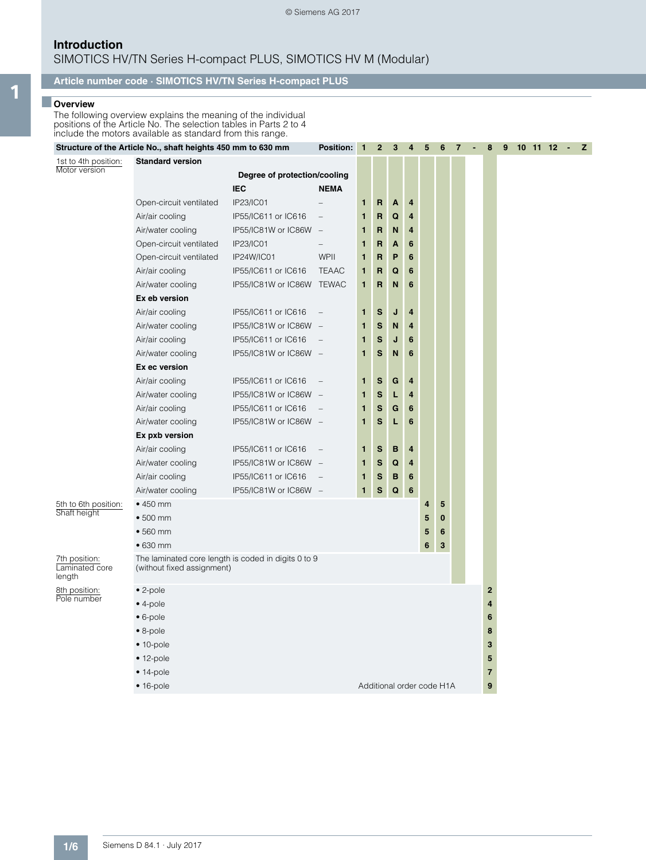### **Introduction** SIMOTICS HV/TN Series H-compact PLUS, SIMOTICS HV M (Modular)

### **Article number code · SIMOTICS HV/TN Series H-compact PLUS**

# 1 **Discretive True**

The following overview explains the meaning of the individual positions of the Article No. The selection tables in Parts 2 to 4 include the motors available as standard from this range.

|                                           | Structure of the Article No., shaft heights 450 mm to 630 mm                      |                              | <b>Position:</b>                | 1 | 2            | 3                         | 4               | 5 | 6        | 7 | 8              | 9 |  | $10$ 11 12 | $\sim$ | z |
|-------------------------------------------|-----------------------------------------------------------------------------------|------------------------------|---------------------------------|---|--------------|---------------------------|-----------------|---|----------|---|----------------|---|--|------------|--------|---|
| 1st to 4th position:                      | <b>Standard version</b>                                                           |                              |                                 |   |              |                           |                 |   |          |   |                |   |  |            |        |   |
| Motor version                             |                                                                                   | Degree of protection/cooling |                                 |   |              |                           |                 |   |          |   |                |   |  |            |        |   |
|                                           |                                                                                   | <b>IEC</b>                   | <b>NEMA</b>                     |   |              |                           |                 |   |          |   |                |   |  |            |        |   |
|                                           | Open-circuit ventilated                                                           | IP23/IC01                    |                                 | 1 | $\mathbf R$  | A                         | 4               |   |          |   |                |   |  |            |        |   |
|                                           | Air/air cooling                                                                   | IP55/IC611 or IC616          | $\qquad \qquad -$               | 1 | R            | Q                         | 4               |   |          |   |                |   |  |            |        |   |
|                                           | Air/water cooling                                                                 | IP55/IC81W or IC86W          | $\overline{\phantom{a}}$        | 1 | R            | N                         | $\overline{4}$  |   |          |   |                |   |  |            |        |   |
|                                           | Open-circuit ventilated                                                           | IP23/IC01                    | $\qquad \qquad -$               | 1 | R            | A                         | 6               |   |          |   |                |   |  |            |        |   |
|                                           | Open-circuit ventilated                                                           | IP24W/IC01                   | WPII                            | 1 | R            | P                         | 6               |   |          |   |                |   |  |            |        |   |
|                                           | Air/air cooling                                                                   | IP55/IC611 or IC616          | <b>TEAAC</b>                    | 1 | R            | Q                         | $6\phantom{1}$  |   |          |   |                |   |  |            |        |   |
|                                           | Air/water cooling                                                                 | IP55/IC81W or IC86W TEWAC    |                                 | 1 | R            | N                         | $6\phantom{1}6$ |   |          |   |                |   |  |            |        |   |
|                                           | Ex eb version                                                                     |                              |                                 |   |              |                           |                 |   |          |   |                |   |  |            |        |   |
|                                           | Air/air cooling                                                                   | IP55/IC611 or IC616          | $\overline{\phantom{0}}$        | 1 | S            | J                         | 4               |   |          |   |                |   |  |            |        |   |
|                                           | Air/water cooling                                                                 | IP55/IC81W or IC86W -        |                                 | 1 | $\mathbf{s}$ | N                         | 4               |   |          |   |                |   |  |            |        |   |
|                                           | Air/air cooling                                                                   | IP55/IC611 or IC616          |                                 | 1 | S            | J                         | 6               |   |          |   |                |   |  |            |        |   |
|                                           | Air/water cooling                                                                 | IP55/IC81W or IC86W -        |                                 | 1 | S            | N                         | 6               |   |          |   |                |   |  |            |        |   |
|                                           | Ex ec version                                                                     |                              |                                 |   |              |                           |                 |   |          |   |                |   |  |            |        |   |
|                                           | Air/air cooling                                                                   | IP55/IC611 or IC616          |                                 | 1 | S            | G                         | 4               |   |          |   |                |   |  |            |        |   |
|                                           | Air/water cooling                                                                 | IP55/IC81W or IC86W          | $\overline{\phantom{a}}$        | 1 | $\mathbf{s}$ | L                         | 4               |   |          |   |                |   |  |            |        |   |
|                                           | Air/air cooling                                                                   | IP55/IC611 or IC616          | $\qquad \qquad -$               | 1 | S            | G                         | $6\phantom{1}6$ |   |          |   |                |   |  |            |        |   |
|                                           | Air/water cooling                                                                 | IP55/IC81W or IC86W -        |                                 | 1 | S            | L                         | 6               |   |          |   |                |   |  |            |        |   |
|                                           | Ex pxb version                                                                    |                              |                                 |   |              |                           |                 |   |          |   |                |   |  |            |        |   |
|                                           | Air/air cooling                                                                   | IP55/IC611 or IC616          | $\overline{\phantom{a}}$        | 1 | ${\bf S}$    | в                         | $\overline{4}$  |   |          |   |                |   |  |            |        |   |
|                                           | Air/water cooling                                                                 | IP55/IC81W or IC86W          | $\hspace{0.1mm}-\hspace{0.1mm}$ | 1 | $\mathbf{s}$ | Q                         | 4               |   |          |   |                |   |  |            |        |   |
|                                           | Air/air cooling                                                                   | IP55/IC611 or IC616          | $\overline{\phantom{0}}$        | 1 | S            | B                         | $6\phantom{1}6$ |   |          |   |                |   |  |            |        |   |
|                                           | Air/water cooling                                                                 | IP55/IC81W or IC86W -        |                                 | 1 | S            | Q                         | $6\phantom{1}6$ |   |          |   |                |   |  |            |        |   |
| 5th to 6th position:                      | $•450$ mm                                                                         |                              |                                 |   |              |                           |                 | 4 | 5        |   |                |   |  |            |        |   |
| Shaft height                              | • 500 mm                                                                          |                              |                                 |   |              |                           |                 | 5 | $\bf{0}$ |   |                |   |  |            |        |   |
|                                           | $•560$ mm                                                                         |                              |                                 |   |              |                           |                 | 5 | 6        |   |                |   |  |            |        |   |
|                                           | $•630$ mm                                                                         |                              |                                 |   |              |                           |                 | 6 | 3        |   |                |   |  |            |        |   |
| 7th position:<br>Laminated core<br>length | The laminated core length is coded in digits 0 to 9<br>(without fixed assignment) |                              |                                 |   |              |                           |                 |   |          |   |                |   |  |            |        |   |
| 8th position:                             | $\bullet$ 2-pole                                                                  |                              |                                 |   |              |                           |                 |   |          |   | $\overline{2}$ |   |  |            |        |   |
| Pole number                               | $• 4-pole$                                                                        |                              |                                 |   |              |                           |                 |   |          |   | $\overline{4}$ |   |  |            |        |   |
|                                           | $• 6-pole$                                                                        |                              |                                 |   |              |                           |                 |   |          |   | 6              |   |  |            |        |   |
|                                           | $\bullet$ 8-pole                                                                  |                              |                                 |   |              |                           |                 |   |          |   | 8              |   |  |            |        |   |
|                                           | $• 10-pole$                                                                       |                              |                                 |   |              |                           |                 |   |          |   | 3              |   |  |            |        |   |
|                                           | $• 12-pole$                                                                       |                              |                                 |   |              |                           |                 |   |          |   | 5              |   |  |            |        |   |
|                                           | $• 14-pole$                                                                       |                              |                                 |   |              |                           |                 |   |          |   | $\overline{7}$ |   |  |            |        |   |
|                                           | $• 16-pole$                                                                       |                              |                                 |   |              | Additional order code H1A |                 |   |          |   | 9              |   |  |            |        |   |
|                                           |                                                                                   |                              |                                 |   |              |                           |                 |   |          |   |                |   |  |            |        |   |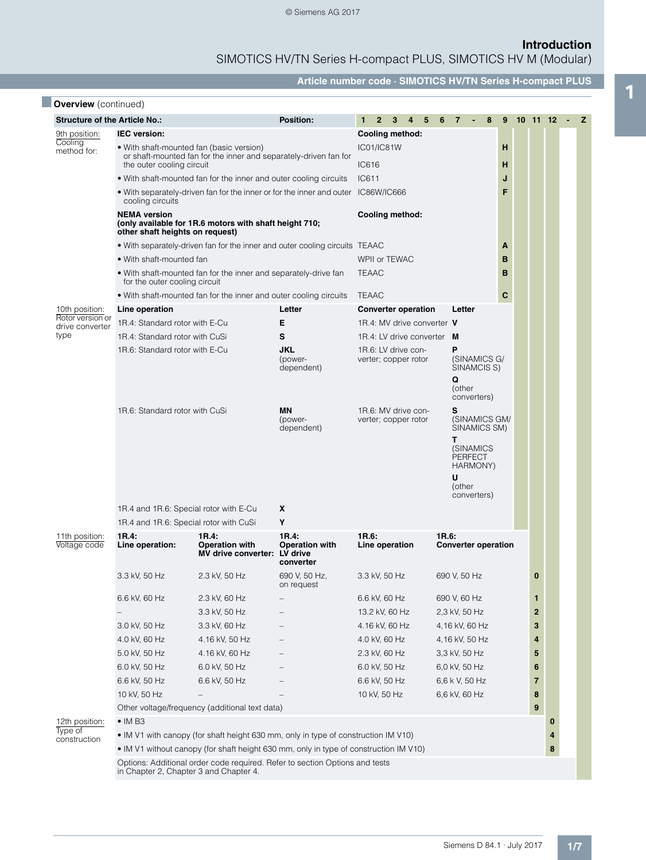SIMOTICS HV/TN Series H-compact PLUS, SIMOTICS HV M (Modular)

**Article number code · SIMOTICS HV/TN Series H-compact PLUS**

|                                                                              |                                                                                                  |                                                                                       | <b>Position:</b>                            | $2^{\circ}$<br>1                            | 3 <sub>1</sub><br>4 <sub>5</sub>             | 6                                     | $\overline{7}$   | 8                                                      | 9 |  | $10$ 11 12 -            |          | z |
|------------------------------------------------------------------------------|--------------------------------------------------------------------------------------------------|---------------------------------------------------------------------------------------|---------------------------------------------|---------------------------------------------|----------------------------------------------|---------------------------------------|------------------|--------------------------------------------------------|---|--|-------------------------|----------|---|
| <b>Structure of the Article No.:</b><br><b>IEC</b> version:<br>9th position: |                                                                                                  |                                                                                       |                                             | Cooling method:                             |                                              |                                       |                  |                                                        |   |  |                         |          |   |
| Cooling<br>method for:                                                       | • With shaft-mounted fan (basic version)                                                         | <b>IC01/IC81W</b>                                                                     |                                             |                                             |                                              |                                       | н                |                                                        |   |  |                         |          |   |
|                                                                              | the outer cooling circuit                                                                        | or shaft-mounted fan for the inner and separately-driven fan for                      |                                             | IC616                                       |                                              |                                       |                  |                                                        | н |  |                         |          |   |
|                                                                              |                                                                                                  | • With shaft-mounted fan for the inner and outer cooling circuits                     |                                             | IC611                                       |                                              |                                       |                  |                                                        | J |  |                         |          |   |
|                                                                              | cooling circuits                                                                                 | . With separately-driven fan for the inner or for the inner and outer IC86W/IC666     |                                             |                                             |                                              |                                       |                  |                                                        |   |  |                         |          |   |
|                                                                              | <b>NEMA</b> version<br>other shaft heights on request)                                           | (only available for 1R.6 motors with shaft height 710;                                |                                             | Cooling method:                             |                                              |                                       |                  |                                                        |   |  |                         |          |   |
|                                                                              |                                                                                                  | • With separately-driven fan for the inner and outer cooling circuits TEAAC           |                                             |                                             |                                              |                                       |                  |                                                        | A |  |                         |          |   |
|                                                                              | • With shaft-mounted fan                                                                         |                                                                                       |                                             | WPII or TEWAC                               |                                              |                                       |                  |                                                        | B |  |                         |          |   |
|                                                                              | . With shaft-mounted fan for the inner and separately-drive fan<br>for the outer cooling circuit | <b>TEAAC</b>                                                                          |                                             |                                             |                                              |                                       | B                |                                                        |   |  |                         |          |   |
|                                                                              | • With shaft-mounted fan for the inner and outer cooling circuits                                | <b>TEAAC</b>                                                                          |                                             |                                             |                                              |                                       | C                |                                                        |   |  |                         |          |   |
| 10th position:<br>Rotor version or<br>drive converter<br>type                | Line operation                                                                                   |                                                                                       | Letter                                      | <b>Converter operation</b>                  |                                              |                                       | Letter           |                                                        |   |  |                         |          |   |
|                                                                              | 1R.4: Standard rotor with E-Cu                                                                   |                                                                                       | Е                                           | 1R.4: MV drive converter V                  |                                              |                                       |                  |                                                        |   |  |                         |          |   |
|                                                                              | 1R.4: Standard rotor with CuSi                                                                   |                                                                                       | S                                           | 1R.4: LV drive converter M                  |                                              |                                       |                  |                                                        |   |  |                         |          |   |
|                                                                              | 1R.6: Standard rotor with E-Cu                                                                   |                                                                                       | <b>JKL</b><br>(power-<br>dependent)         | 1R.6: LV drive con-<br>verter; copper rotor |                                              | (SINAMICS G/<br>SINAMCIS S)<br>(other |                  |                                                        |   |  |                         |          |   |
|                                                                              | 1R.6: Standard rotor with CuSi                                                                   |                                                                                       | <b>MN</b><br>(power-<br>dependent)          | 1R.6: MV drive con-<br>verter; copper rotor | converters)<br>(SINAMICS GM/<br>SINAMICS SM) |                                       |                  |                                                        |   |  |                         |          |   |
|                                                                              |                                                                                                  |                                                                                       |                                             |                                             |                                              |                                       | T<br>U<br>(other | (SINAMICS<br><b>PERFECT</b><br>HARMONY)<br>converters) |   |  |                         |          |   |
|                                                                              | 1R.4 and 1R.6: Special rotor with E-Cu                                                           |                                                                                       | X                                           |                                             |                                              |                                       |                  |                                                        |   |  |                         |          |   |
|                                                                              | 1R.4 and 1R.6: Special rotor with CuSi                                                           |                                                                                       | Υ                                           |                                             |                                              |                                       |                  |                                                        |   |  |                         |          |   |
| 11th position:<br>Voltage code                                               | 1R.4:<br>Line operation:                                                                         | 1R.4:<br><b>Operation with</b><br>MV drive converter: LV drive                        | 1R.4:<br><b>Operation with</b><br>converter | 1R.6:<br>Line operation                     |                                              |                                       | 1R.6:            | <b>Converter operation</b>                             |   |  |                         |          |   |
|                                                                              | 3.3 kV, 50 Hz                                                                                    | 2.3 kV, 50 Hz                                                                         | 690 V, 50 Hz,<br>on request                 | 3.3 kV, 50 Hz                               |                                              |                                       | 690 V, 50 Hz     |                                                        |   |  | 0                       |          |   |
|                                                                              | 6.6 kV, 60 Hz                                                                                    | 2.3 kV, 60 Hz                                                                         |                                             | 6.6 kV, 60 Hz                               |                                              |                                       | 690 V, 60 Hz     |                                                        |   |  | 1                       |          |   |
|                                                                              |                                                                                                  | 3.3 kV, 50 Hz                                                                         |                                             | 13.2 kV, 60 Hz                              |                                              |                                       |                  | 2,3 kV, 50 Hz                                          |   |  | $\overline{\mathbf{2}}$ |          |   |
|                                                                              | 3.0 kV, 50 Hz                                                                                    | 3.3 kV, 60 Hz                                                                         |                                             | 4.16 kV, 60 Hz                              |                                              |                                       |                  | 4,16 kV, 60 Hz                                         |   |  | 3                       |          |   |
|                                                                              | 4.0 kV, 60 Hz                                                                                    | 4.16 kV, 50 Hz                                                                        |                                             | 4.0 kV, 60 Hz                               |                                              |                                       |                  | 4,16 kV, 50 Hz                                         |   |  | 4                       |          |   |
|                                                                              | 5.0 kV, 50 Hz                                                                                    | 4.16 kV, 60 Hz                                                                        |                                             | 2.3 kV, 60 Hz                               |                                              |                                       |                  | 3,3 kV, 50 Hz                                          |   |  | 5                       |          |   |
|                                                                              | 6.0 kV, 50 Hz                                                                                    | 6.0 kV, 50 Hz                                                                         |                                             | 6.0 kV, 50 Hz                               |                                              |                                       |                  | 6,0 kV, 50 Hz                                          |   |  | 6                       |          |   |
|                                                                              | 6.6 kV, 50 Hz                                                                                    | 6.6 kV, 50 Hz                                                                         |                                             | 6.6 kV, 50 Hz                               | 6,6 k V, 50 Hz                               |                                       |                  | $\overline{7}$                                         |   |  |                         |          |   |
|                                                                              | 10 kV, 50 Hz                                                                                     |                                                                                       | 10 kV, 50 Hz<br>6,6 kV, 60 Hz               |                                             |                                              |                                       |                  |                                                        |   |  |                         |          |   |
|                                                                              |                                                                                                  | Other voltage/frequency (additional text data)                                        |                                             |                                             |                                              |                                       |                  |                                                        |   |  | $\boldsymbol{9}$        |          |   |
| 12th position:                                                               | $\bullet$ IM B3                                                                                  |                                                                                       |                                             |                                             |                                              |                                       |                  |                                                        |   |  |                         | $\bf{0}$ |   |
| Type of                                                                      |                                                                                                  | • IM V1 with canopy (for shaft height 630 mm, only in type of construction IM V10)    |                                             |                                             |                                              |                                       |                  |                                                        |   |  |                         | 4        |   |
| construction                                                                 |                                                                                                  | . IM V1 without canopy (for shaft height 630 mm, only in type of construction IM V10) |                                             |                                             |                                              |                                       |                  |                                                        |   |  |                         | 8        |   |
|                                                                              | Options: Additional order code required. Refer to section Options and tests                      |                                                                                       |                                             |                                             |                                              |                                       |                  |                                                        |   |  |                         |          |   |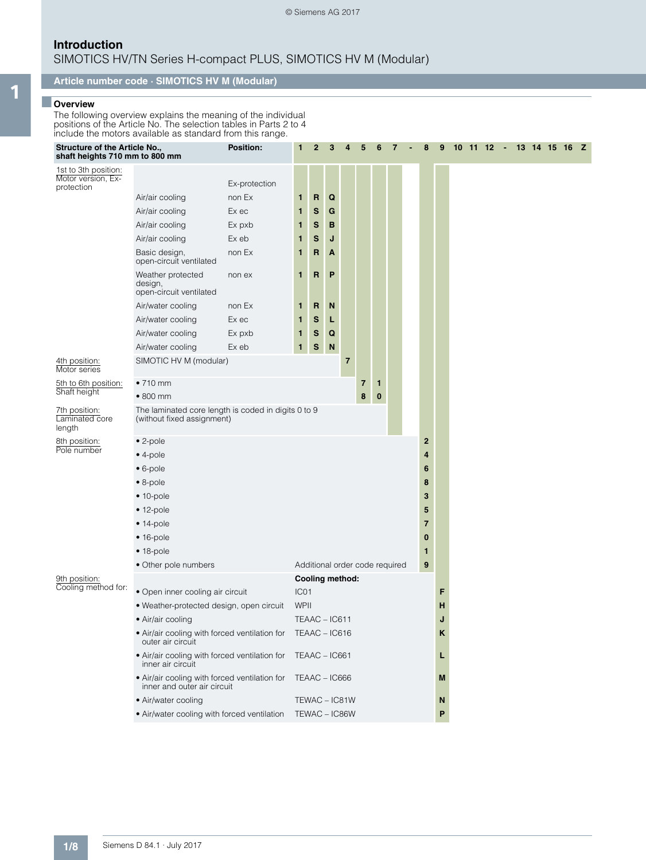SIMOTICS HV/TN Series H-compact PLUS, SIMOTICS HV M (Modular)

### **Article number code · SIMOTICS HV M (Modular)**

# 1 ■ **Overview**

The following overview explains the meaning of the individual positions of the Article No. The selection tables in Parts 2 to 4 include the motors available as standard from this range.

| Structure of the Article No.,<br>shaft heights 710 mm to 800 mm |                                                                                                                                                                                                                                                                                                                                                                                                | <b>Position:</b>                                                                                              | 1                                                 | $\mathbf{2}$                                                       | 3                                              | 4 | 5      | 6             | 7 | 8                                              | 9 | 10 11 12 - 13 14 15 16 Z |  |  |  |  |
|-----------------------------------------------------------------|------------------------------------------------------------------------------------------------------------------------------------------------------------------------------------------------------------------------------------------------------------------------------------------------------------------------------------------------------------------------------------------------|---------------------------------------------------------------------------------------------------------------|---------------------------------------------------|--------------------------------------------------------------------|------------------------------------------------|---|--------|---------------|---|------------------------------------------------|---|--------------------------|--|--|--|--|
| 1st to 3th position:<br>Motor version, Ex-<br>protection        | Air/air cooling<br>Air/air cooling<br>Air/air cooling<br>Air/air cooling<br>Basic design,<br>open-circuit ventilated<br>Weather protected<br>design,<br>open-circuit ventilated<br>Air/water cooling<br>Air/water cooling<br>Air/water cooling<br>Air/water cooling                                                                                                                            | Ex-protection<br>non Ex<br>Ex ec<br>Ex pxb<br>Ex eb<br>non Ex<br>non ex<br>non Ex<br>Ex ec<br>Ex pxb<br>Ex eb | 1<br>1<br>1<br>1<br>1.<br>1<br>1<br>1<br>1.       | R<br>$\mathbf s$<br>s<br>S<br>R<br>R<br>R<br>s<br>$\mathbf s$<br>S | Q<br>G<br>в<br>J<br>A<br>P<br>N<br>L<br>Q<br>N |   |        |               |   |                                                |   |                          |  |  |  |  |
| 4th position:<br>Motor series                                   | SIMOTIC HV M (modular)                                                                                                                                                                                                                                                                                                                                                                         |                                                                                                               |                                                   |                                                                    |                                                | 7 |        |               |   |                                                |   |                          |  |  |  |  |
| 5th to 6th position:<br>Shaft height                            | $•710$ mm<br>$\bullet$ 800 mm                                                                                                                                                                                                                                                                                                                                                                  |                                                                                                               |                                                   |                                                                    |                                                |   | 7<br>8 | 1<br>$\bf{0}$ |   |                                                |   |                          |  |  |  |  |
| 7th position:<br>Laminated core<br>length                       | The laminated core length is coded in digits 0 to 9<br>(without fixed assignment)                                                                                                                                                                                                                                                                                                              |                                                                                                               |                                                   |                                                                    |                                                |   |        |               |   |                                                |   |                          |  |  |  |  |
| 8th position:<br>Pole number                                    | $\bullet$ 2-pole<br>$\bullet$ 4-pole<br>$\bullet$ 6-pole<br>$\bullet$ 8-pole<br>$• 10-pole$<br>$• 12-pole$<br>$• 14-pole$<br>$• 16-pole$<br>$• 18-pole$<br>• Other pole numbers                                                                                                                                                                                                                |                                                                                                               |                                                   | Additional order code required                                     |                                                |   |        |               |   | 2<br>4<br>6<br>8<br>3<br>5<br>7<br>0<br>1<br>9 |   |                          |  |  |  |  |
| 9th position:<br>Cooling method for:                            | • Open inner cooling air circuit<br>· Weather-protected design, open circuit<br>• Air/air cooling<br>• Air/air cooling with forced ventilation for TEAAC - IC616<br>outer air circuit<br>• Air/air cooling with forced ventilation for TEAAC - IC661<br>inner air circuit<br>• Air/air cooling with forced ventilation for TEAAC - IC666<br>inner and outer air circuit<br>• Air/water cooling | IC01<br>WPII                                                                                                  | Cooling method:<br>TEAAC - IC611<br>TEWAC - IC81W |                                                                    |                                                |   |        |               |   | F<br>н<br>J<br>ĸ<br>L<br>M<br>N                |   |                          |  |  |  |  |
|                                                                 | • Air/water cooling with forced ventilation                                                                                                                                                                                                                                                                                                                                                    |                                                                                                               |                                                   | TEWAC - IC86W                                                      |                                                |   |        |               |   |                                                | P |                          |  |  |  |  |